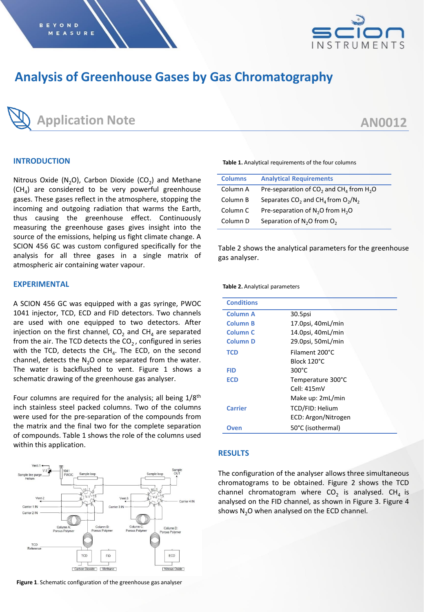

# **Analysis of Greenhouse Gases by Gas Chromatography**



# **AN0012**

### **INTRODUCTION**

Nitrous Oxide (N<sub>2</sub>O), Carbon Dioxide (CO<sub>2</sub>) and Methane  $(CH<sub>4</sub>)$  are considered to be very powerful greenhouse gases. These gases reflect in the atmosphere, stopping the incoming and outgoing radiation that warms the Earth, thus causing the greenhouse effect. Continuously measuring the greenhouse gases gives insight into the source of the emissions, helping us fight climate change. A SCION 456 GC was custom configured specifically for the analysis for all three gases in a single matrix of atmospheric air containing water vapour.

## **EXPERIMENTAL**

A SCION 456 GC was equipped with a gas syringe, PWOC 1041 injector, TCD, ECD and FID detectors. Two channels are used with one equipped to two detectors. After injection on the first channel, CO<sub>2</sub> and CH<sub>4</sub> are separated from the air. The TCD detects the CO<sub>2</sub>, configured in series with the TCD, detects the CH $_4$ . The ECD, on the second channel, detects the  $N_2O$  once separated from the water. The water is backflushed to vent. Figure 1 shows a schematic drawing of the greenhouse gas analyser.

Four columns are required for the analysis; all being 1/8<sup>th</sup> inch stainless steel packed columns. Two of the columns were used for the pre-separation of the compounds from the matrix and the final two for the complete separation of compounds. Table 1 shows the role of the columns used within this application.



**Figure 1**. Schematic configuration of the greenhouse gas analyser

**Table 1.** Analytical requirements of the four columns

| <b>Columns</b>      | <b>Analytical Requirements</b>                                              |
|---------------------|-----------------------------------------------------------------------------|
| Column A            | Pre-separation of CO <sub>2</sub> and CH <sub>4</sub> from H <sub>2</sub> O |
| Column B            | Separates CO <sub>2</sub> and CH <sub>4</sub> from $O_2/N_2$                |
| Column <sub>C</sub> | Pre-separation of N <sub>2</sub> O from H <sub>2</sub> O                    |
| Column D            | Separation of $N_2$ O from O <sub>2</sub>                                   |

Table 2 shows the analytical parameters for the greenhouse gas analyser.

**Table 2.** Analytical parameters

| <b>Conditions</b>   |                     |  |
|---------------------|---------------------|--|
| Column A            | 30.5psi             |  |
| <b>Column B</b>     | 17.0psi, 40mL/min   |  |
| Column <sub>C</sub> | 14.0psi, 40mL/min   |  |
| <b>Column D</b>     | 29.0psi, 50mL/min   |  |
| <b>TCD</b>          | Filament 200°C      |  |
|                     | Block 120°C         |  |
| FID                 | $300^{\circ}$ C     |  |
| <b>ECD</b>          | Temperature 300°C   |  |
|                     | Cell: 415mV         |  |
|                     | Make up: 2mL/min    |  |
| <b>Carrier</b>      | TCD/FID: Helium     |  |
|                     | ECD: Argon/Nitrogen |  |
| Oven                | 50°C (isothermal)   |  |

#### **RESULTS**

The configuration of the analyser allows three simultaneous chromatograms to be obtained. Figure 2 shows the TCD channel chromatogram where CO<sub>2</sub> is analysed. CH<sub>4</sub> is analysed on the FID channel, as shown in Figure 3. Figure 4 shows  $N<sub>2</sub>O$  when analysed on the ECD channel.